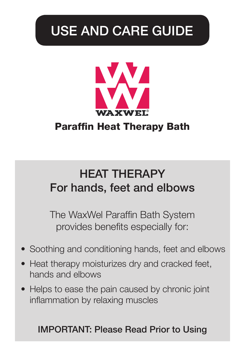# USE AND CARE GUIDE



# Paraffin Heat Therapy Bath

# HEAT THERAPY For hands, feet and elbows

The WaxWel Paraffin Bath System provides benefits especially for:

- Soothing and conditioning hands, feet and elbows
- Heat therapy moisturizes dry and cracked feet, hands and elbows
- Helps to ease the pain caused by chronic joint inflammation by relaxing muscles

# IMPORTANT: Please Read Prior to Using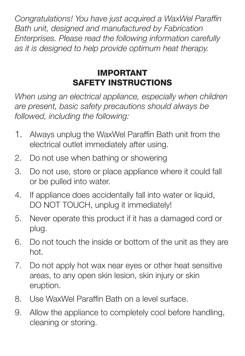*Congratulations! You have just acquired a WaxWel Paraffin Bath unit, designed and manufactured by Fabrication Enterprises. Please read the following information carefully as it is designed to help provide optimum heat therapy.*

# IMPORTANT SAFETY INSTRUCTIONS

*When using an electrical appliance, especially when children are present, basic safety precautions should always be followed, including the following:*

- 1. Always unplug the WaxWel Paraffin Bath unit from the electrical outlet immediately after using.
- 2. Do not use when bathing or showering
- 3. Do not use, store or place appliance where it could fall or be pulled into water.
- 4. If appliance does accidentally fall into water or liquid, DO NOT TOUCH, unplug it immediately!
- 5. Never operate this product if it has a damaged cord or plug.
- 6. Do not touch the inside or bottom of the unit as they are hot.
- 7. Do not apply hot wax near eyes or other heat sensitive areas, to any open skin lesion, skin injury or skin eruption.
- 8. Use WaxWel Paraffin Bath on a level surface.
- 9. Allow the appliance to completely cool before handling, cleaning or storing.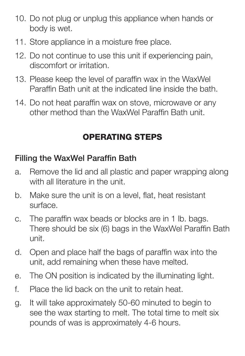- 10. Do not plug or unplug this appliance when hands or body is wet.
- 11. Store appliance in a moisture free place.
- 12. Do not continue to use this unit if experiencing pain, discomfort or irritation.
- 13. Please keep the level of paraffin wax in the WaxWel Paraffin Bath unit at the indicated line inside the bath.
- 14. Do not heat paraffin wax on stove, microwave or any other method than the WaxWel Paraffin Bath unit.

# OPERATING STEPS

# Filling the WaxWel Paraffin Bath

- a. Remove the lid and all plastic and paper wrapping along with all literature in the unit.
- b. Make sure the unit is on a level, flat, heat resistant surface.
- c. The paraffin wax beads or blocks are in 1 lb. bags. There should be six (6) bags in the WaxWel Paraffin Bath unit.
- d. Open and place half the bags of paraffin wax into the unit, add remaining when these have melted.
- e. The ON position is indicated by the illuminating light.
- f. Place the lid back on the unit to retain heat.
- g. It will take approximately 50-60 minuted to begin to see the wax starting to melt. The total time to melt six pounds of was is approximately 4-6 hours.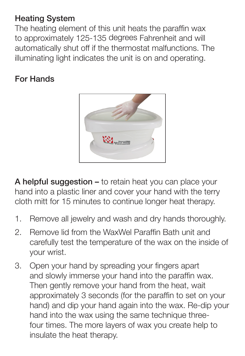### Heating System

The heating element of this unit heats the paraffin wax to approximately 125-135 degrees Fahrenheit and will automatically shut off if the thermostat malfunctions. The illuminating light indicates the unit is on and operating.

### For Hands



A helpful suggestion - to retain heat you can place your hand into a plastic liner and cover your hand with the terry cloth mitt for 15 minutes to continue longer heat therapy.

- 1. Remove all jewelry and wash and dry hands thoroughly.
- 2. Remove lid from the WaxWel Paraffin Bath unit and carefully test the temperature of the wax on the inside of your wrist.
- 3. Open your hand by spreading your fingers apart and slowly immerse your hand into the paraffin wax. Then gently remove your hand from the heat, wait approximately 3 seconds (for the paraffin to set on your hand) and dip your hand again into the wax. Re-dip your hand into the wax using the same technique threefour times. The more layers of wax you create help to insulate the heat therapy.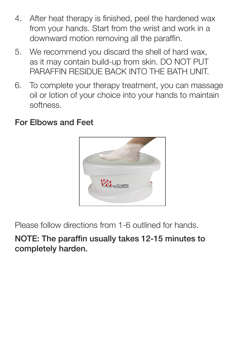- 4. After heat therapy is finished, peel the hardened wax from your hands. Start from the wrist and work in a downward motion removing all the paraffin.
- 5. We recommend you discard the shell of hard wax, as it may contain build-up from skin. DO NOT PUT PARAFFIN RESIDUE BACK INTO THE BATH UNIT.
- 6. To complete your therapy treatment, you can massage oil or lotion of your choice into your hands to maintain softness.

#### For Elbows and Feet



Please follow directions from 1-6 outlined for hands.

NOTE: The paraffin usually takes 12-15 minutes to completely harden.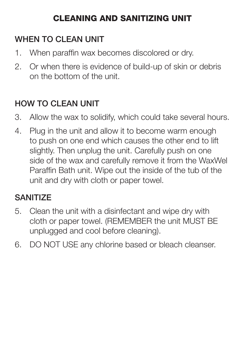# CLEANING AND SANITIZING UNIT

# WHEN TO CLEAN UNIT

- 1. When paraffin wax becomes discolored or dry.
- 2. Or when there is evidence of build-up of skin or debris on the bottom of the unit.

# HOW TO CLEAN UNIT

- 3. Allow the wax to solidify, which could take several hours.
- 4. Plug in the unit and allow it to become warm enough to push on one end which causes the other end to lift slightly. Then unplug the unit. Carefully push on one side of the wax and carefully remove it from the WaxWel Paraffin Bath unit. Wipe out the inside of the tub of the unit and dry with cloth or paper towel.

# **SANITIZE**

- 5. Clean the unit with a disinfectant and wipe dry with cloth or paper towel. (REMEMBER the unit MUST BE unplugged and cool before cleaning).
- 6. DO NOT USE any chlorine based or bleach cleanser.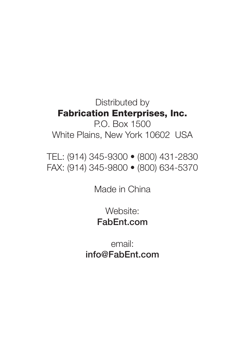Distributed by Fabrication Enterprises, Inc.

P.O. Box 1500 White Plains, New York 10602 USA

TEL: (914) 345-9300 • (800) 431-2830 FAX: (914) 345-9800 • (800) 634-5370

Made in China

Website: FabEnt.com

email: info@FabEnt.com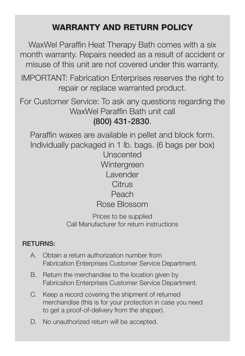# WARRANTY AND RETURN POLICY

WaxWel Paraffin Heat Therapy Bath comes with a six month warranty. Repairs needed as a result of accident or misuse of this unit are not covered under this warranty.

IMPORTANT: Fabrication Enterprises reserves the right to repair or replace warranted product.

For Customer Service: To ask any questions regarding the WaxWel Paraffin Bath unit call (800) 431-2830.

Paraffin waxes are available in pellet and block form. Individually packaged in 1 lb. bags. (6 bags per box) Unscented Wintergreen **Lavender Citrus** Peach Rose Blossom

Prices to be supplied Call Manufacturer for return instructions

#### RETURNS:

- A. Obtain a return authorization number from Fabrication Enterprises Customer Service Department.
- B. Return the merchandise to the location given by Fabrication Enterprises Customer Service Department.
- C. Keep a record covering the shipment of returned merchandise (this is for your protection in case you need to get a proof-of-delivery from the shipper).
- D. No unauthorized return will be accepted.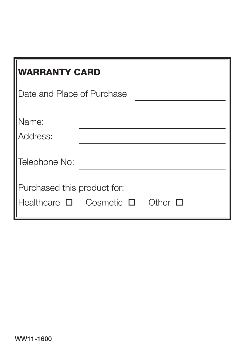| <b>WARRANTY CARD</b>                                                   |  |              |
|------------------------------------------------------------------------|--|--------------|
| Date and Place of Purchase                                             |  |              |
| lName:<br>Address:                                                     |  |              |
| Telephone No:                                                          |  |              |
| Purchased this product for:<br>Healthcare $\square$ Cosmetic $\square$ |  | Other $\Box$ |